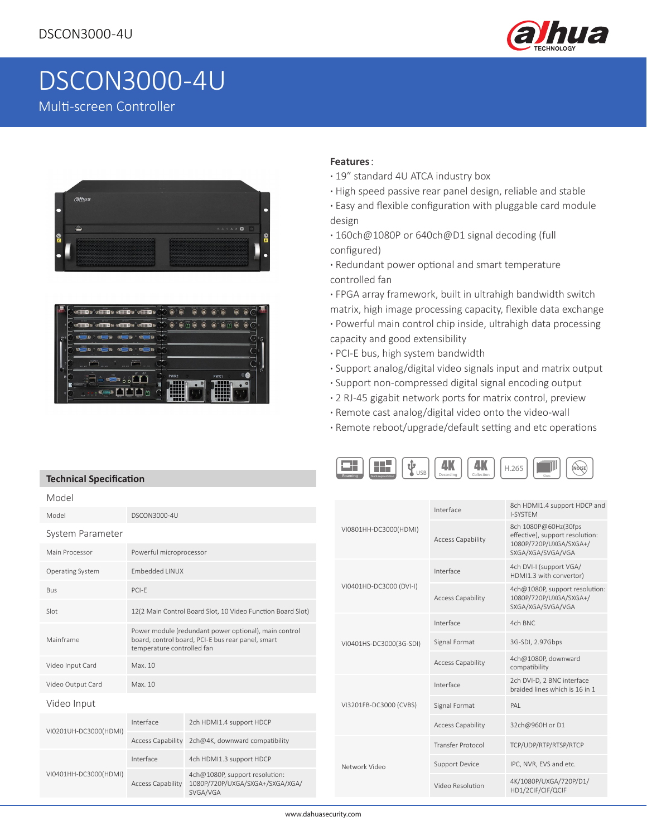

# DSCON3000-4U

Multi-screen Controller

**Technical Specification**





#### **Features**:

- **·** 19" standard 4U ATCA industry box
- **·** High speed passive rear panel design, reliable and stable
- **·** Easy and flexible configuration with pluggable card module design
- **·** 160ch@1080P or 640ch@D1 signal decoding (full configured)
- **·** Redundant power optional and smart temperature controlled fan
- **·** FPGA array framework, built in ultrahigh bandwidth switch matrix, high image processing capacity, flexible data exchange
- **·** Powerful main control chip inside, ultrahigh data processing capacity and good extensibility
- **·** PCI-E bus, high system bandwidth
- **·** Support analog/digital video signals input and matrix output
- **·** Support non-compressed digital signal encoding output
- **·** 2 RJ-45 gigabit network ports for matrix control, preview
- **·** Remote cast analog/digital video onto the video-wall
- **·** Remote reboot/upgrade/default setting and etc operations



| Model                 |                                                                                                                                          |                                                                               |                         |                          |                                                                                   |
|-----------------------|------------------------------------------------------------------------------------------------------------------------------------------|-------------------------------------------------------------------------------|-------------------------|--------------------------|-----------------------------------------------------------------------------------|
| Model                 | DSCON3000-4U                                                                                                                             |                                                                               |                         | Interface                | 8ch HDMI1.4 support HDCP and<br>I-SYSTEM                                          |
| System Parameter      |                                                                                                                                          |                                                                               | VI0801HH-DC3000(HDMI)   | <b>Access Capability</b> | 8ch 1080P@60Hz(30fps<br>effective), support resolution:<br>1080P/720P/UXGA/SXGA+/ |
| Main Processor        | Powerful microprocessor                                                                                                                  |                                                                               |                         |                          | SXGA/XGA/SVGA/VGA                                                                 |
| Operating System      | Embedded LINUX                                                                                                                           |                                                                               |                         | Interface                | 4ch DVI-I (support VGA/<br>HDMI1.3 with convertor)                                |
| Bus<br>Slot           | PCI-E<br>12(2 Main Control Board Slot, 10 Video Function Board Slot)                                                                     |                                                                               | VI0401HD-DC3000 (DVI-I) | <b>Access Capability</b> | 4ch@1080P, support resolution:<br>1080P/720P/UXGA/SXGA+/<br>SXGA/XGA/SVGA/VGA     |
|                       |                                                                                                                                          |                                                                               |                         | Interface                | 4ch BNC                                                                           |
| Mainframe             | Power module (redundant power optional), main control<br>board, control board, PCI-E bus rear panel, smart<br>temperature controlled fan |                                                                               | VI0401HS-DC3000(3G-SDI) | Signal Format            | 3G-SDI, 2.97Gbps                                                                  |
| Video Input Card      | Max. 10                                                                                                                                  |                                                                               |                         | <b>Access Capability</b> | 4ch@1080P, downward<br>compatibility                                              |
| Video Output Card     | Max. 10                                                                                                                                  |                                                                               |                         | Interface                | 2ch DVI-D, 2 BNC interface<br>braided lines which is 16 in 1                      |
| Video Input           |                                                                                                                                          |                                                                               | VI3201FB-DC3000 (CVBS)  | Signal Format            | PAI                                                                               |
| VI0201UH-DC3000(HDMI) | Interface                                                                                                                                | 2ch HDMI1.4 support HDCP                                                      |                         | <b>Access Capability</b> | 32ch@960H or D1                                                                   |
|                       | Access Capability                                                                                                                        | 2ch@4K, downward compatibility                                                |                         | <b>Transfer Protocol</b> | TCP/UDP/RTP/RTSP/RTCP                                                             |
| VI0401HH-DC3000(HDMI) | Interface                                                                                                                                | 4ch HDMI1.3 support HDCP                                                      | Network Video           | <b>Support Device</b>    | IPC, NVR, EVS and etc.                                                            |
|                       | <b>Access Capability</b>                                                                                                                 | 4ch@1080P, support resolution:<br>1080P/720P/UXGA/SXGA+/SXGA/XGA/<br>SVGA/VGA |                         | Video Resolution         | 4K/1080P/UXGA/720P/D1/<br>HD1/2CIF/CIF/QCIF                                       |